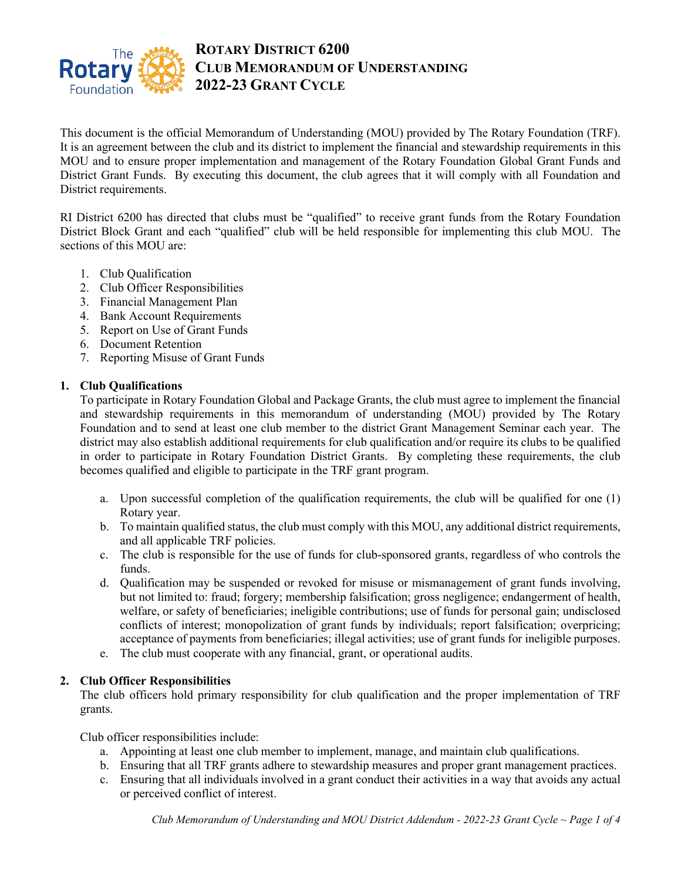

# **ROTARY DISTRICT 6200 CLUB MEMORANDUM OF UNDERSTANDING 2022-23 GRANT CYCLE**

This document is the official Memorandum of Understanding (MOU) provided by The Rotary Foundation (TRF). It is an agreement between the club and its district to implement the financial and stewardship requirements in this MOU and to ensure proper implementation and management of the Rotary Foundation Global Grant Funds and District Grant Funds. By executing this document, the club agrees that it will comply with all Foundation and District requirements.

RI District 6200 has directed that clubs must be "qualified" to receive grant funds from the Rotary Foundation District Block Grant and each "qualified" club will be held responsible for implementing this club MOU. The sections of this MOU are:

- 1. Club Qualification
- 2. Club Officer Responsibilities
- 3. Financial Management Plan
- 4. Bank Account Requirements
- 5. Report on Use of Grant Funds
- 6. Document Retention
- 7. Reporting Misuse of Grant Funds

#### **1. Club Qualifications**

To participate in Rotary Foundation Global and Package Grants, the club must agree to implement the financial and stewardship requirements in this memorandum of understanding (MOU) provided by The Rotary Foundation and to send at least one club member to the district Grant Management Seminar each year. The district may also establish additional requirements for club qualification and/or require its clubs to be qualified in order to participate in Rotary Foundation District Grants. By completing these requirements, the club becomes qualified and eligible to participate in the TRF grant program.

- a. Upon successful completion of the qualification requirements, the club will be qualified for one (1) Rotary year.
- b. To maintain qualified status, the club must comply with this MOU, any additional district requirements, and all applicable TRF policies.
- c. The club is responsible for the use of funds for club-sponsored grants, regardless of who controls the funds.
- d. Qualification may be suspended or revoked for misuse or mismanagement of grant funds involving, but not limited to: fraud; forgery; membership falsification; gross negligence; endangerment of health, welfare, or safety of beneficiaries; ineligible contributions; use of funds for personal gain; undisclosed conflicts of interest; monopolization of grant funds by individuals; report falsification; overpricing; acceptance of payments from beneficiaries; illegal activities; use of grant funds for ineligible purposes.
- e. The club must cooperate with any financial, grant, or operational audits.

## **2. Club Officer Responsibilities**

The club officers hold primary responsibility for club qualification and the proper implementation of TRF grants.

Club officer responsibilities include:

- a. Appointing at least one club member to implement, manage, and maintain club qualifications.
- b. Ensuring that all TRF grants adhere to stewardship measures and proper grant management practices.
- c. Ensuring that all individuals involved in a grant conduct their activities in a way that avoids any actual or perceived conflict of interest.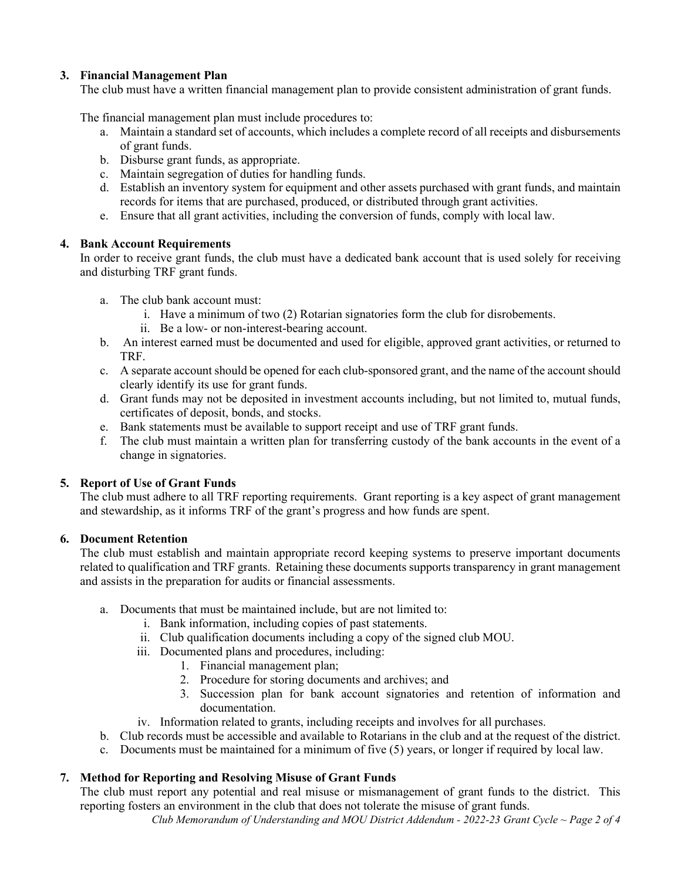## **3. Financial Management Plan**

The club must have a written financial management plan to provide consistent administration of grant funds.

The financial management plan must include procedures to:

- a. Maintain a standard set of accounts, which includes a complete record of all receipts and disbursements of grant funds.
- b. Disburse grant funds, as appropriate.
- c. Maintain segregation of duties for handling funds.
- d. Establish an inventory system for equipment and other assets purchased with grant funds, and maintain records for items that are purchased, produced, or distributed through grant activities.
- e. Ensure that all grant activities, including the conversion of funds, comply with local law.

### **4. Bank Account Requirements**

In order to receive grant funds, the club must have a dedicated bank account that is used solely for receiving and disturbing TRF grant funds.

- a. The club bank account must:
	- i. Have a minimum of two (2) Rotarian signatories form the club for disrobements.
	- ii. Be a low- or non-interest-bearing account.
- b. An interest earned must be documented and used for eligible, approved grant activities, or returned to TRF.
- c. A separate account should be opened for each club-sponsored grant, and the name of the account should clearly identify its use for grant funds.
- d. Grant funds may not be deposited in investment accounts including, but not limited to, mutual funds, certificates of deposit, bonds, and stocks.
- e. Bank statements must be available to support receipt and use of TRF grant funds.
- f. The club must maintain a written plan for transferring custody of the bank accounts in the event of a change in signatories.

## **5. Report of Use of Grant Funds**

The club must adhere to all TRF reporting requirements. Grant reporting is a key aspect of grant management and stewardship, as it informs TRF of the grant's progress and how funds are spent.

#### **6. Document Retention**

The club must establish and maintain appropriate record keeping systems to preserve important documents related to qualification and TRF grants. Retaining these documents supports transparency in grant management and assists in the preparation for audits or financial assessments.

- a. Documents that must be maintained include, but are not limited to:
	- i. Bank information, including copies of past statements.
	- ii. Club qualification documents including a copy of the signed club MOU.
	- iii. Documented plans and procedures, including:
		- 1. Financial management plan;
		- 2. Procedure for storing documents and archives; and
		- 3. Succession plan for bank account signatories and retention of information and documentation.
	- iv. Information related to grants, including receipts and involves for all purchases.
- b. Club records must be accessible and available to Rotarians in the club and at the request of the district.
- c. Documents must be maintained for a minimum of five (5) years, or longer if required by local law.

## **7. Method for Reporting and Resolving Misuse of Grant Funds**

The club must report any potential and real misuse or mismanagement of grant funds to the district. This reporting fosters an environment in the club that does not tolerate the misuse of grant funds.

*Club Memorandum of Understanding and MOU District Addendum - 2022-23 Grant Cycle ~ Page 2 of 4*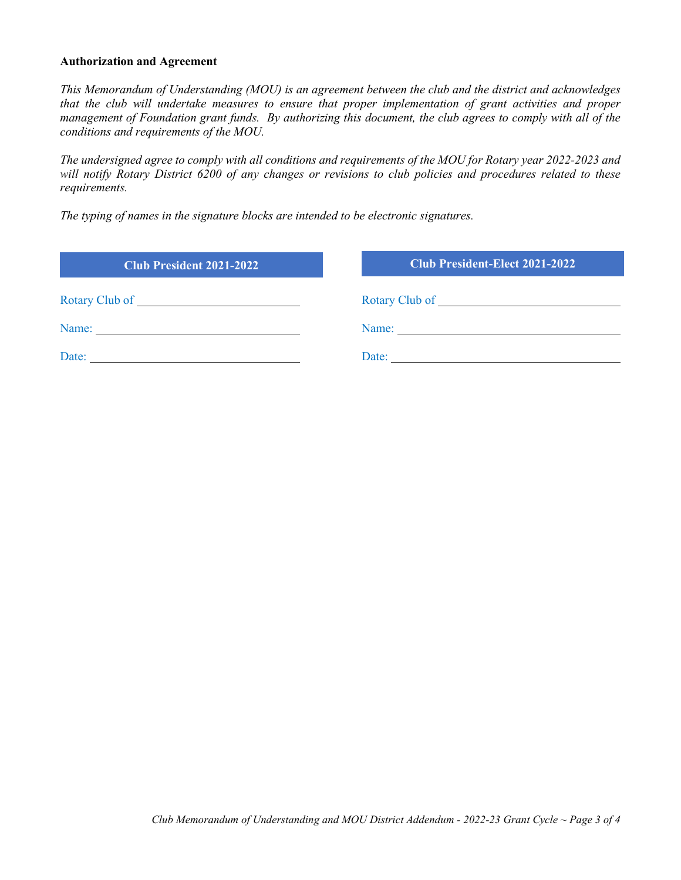#### **Authorization and Agreement**

*This Memorandum of Understanding (MOU) is an agreement between the club and the district and acknowledges that the club will undertake measures to ensure that proper implementation of grant activities and proper management of Foundation grant funds. By authorizing this document, the club agrees to comply with all of the conditions and requirements of the MOU.*

*The undersigned agree to comply with all conditions and requirements of the MOU for Rotary year 2022-2023 and will notify Rotary District 6200 of any changes or revisions to club policies and procedures related to these requirements.* 

*The typing of names in the signature blocks are intended to be electronic signatures.*

| <b>Club President 2021-2022</b> | <b>Club President-Elect 2021-2022</b> |
|---------------------------------|---------------------------------------|
|                                 |                                       |
|                                 |                                       |
| Date:                           | Date:                                 |